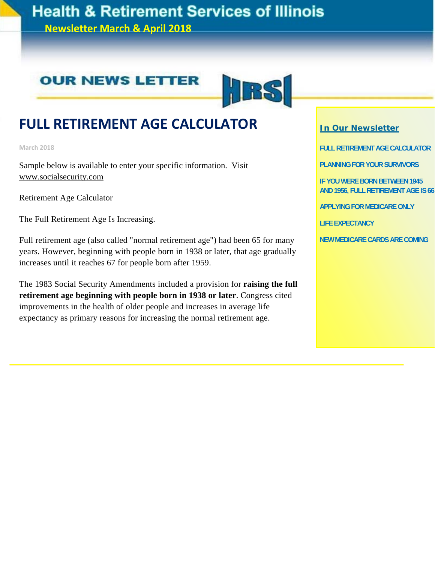### **Health & Retirement Services of Illinois**

**Newsletter March & April 2018**

### **OUR NEWS LETTER**



### **FULL RETIREMENT AGE CALCULATOR**

**March 2018**

Sample below is available to enter your specific information. Visit www.socialsecurity.com

Retirement Age Calculator

The Full Retirement Age Is Increasing.

Full retirement age (also called "normal retirement age") had been 65 for many years. However, beginning with people born in 1938 or later, that age gradually increases until it reaches 67 for people born after 1959.

The 1983 Social Security Amendments included a provision for **raising the full retirement age beginning with people born in 1938 or later**. Congress cited improvements in the health of older people and increases in average life expectancy as primary reasons for increasing the normal retirement age.

#### **In Our Newsletter**

**FULL RETIREMENT AGE CALCULATOR** 

**PLANNING FOR YOUR SURVIVORS** 

**IF YOU WERE BORN BETWEEN 1945 AND 1956, FULL RETIREMENT AGE IS 66**

**APPLYING FOR MEDICARE ONLY** 

**LIFE EXPECTANCY** 

**NEW MEDICARE CARDS ARE COMING**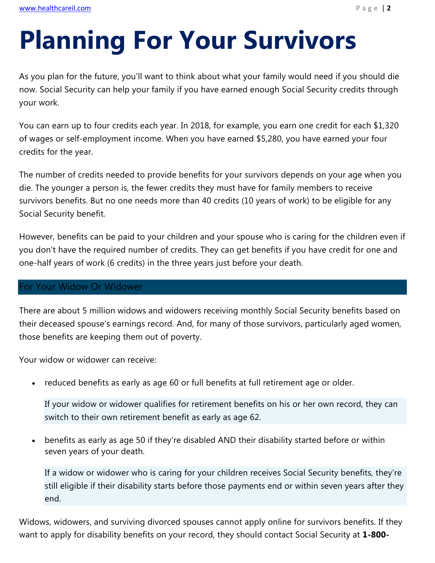# **Planning For Your Survivors**

As you plan for the future, you'll want to think about what your family would need if you should die now. Social Security can help your family if you have earned enough Social Security credits through your work.

You can earn up to four credits each year. In 2018, for example, you earn one credit for each \$1,320 of wages or self-employment income. When you have earned \$5,280, you have earned your four credits for the year.

The number of credits needed to provide benefits for your survivors depends on your age when you die. The younger a person is, the fewer credits they must have for family members to receive survivors benefits. But no one needs more than 40 credits (10 years of work) to be eligible for any Social Security benefit.

However, benefits can be paid to your children and your spouse who is caring for the children even if you don't have the required number of credits. They can get benefits if you have credit for one and one-half years of work (6 credits) in the three years just before your death.

#### For Your Widow Or Widower

There are about 5 million widows and widowers receiving monthly Social Security benefits based on their deceased spouse's earnings record. And, for many of those survivors, particularly aged women, those benefits are keeping them out of poverty.

Your widow or widower can receive:

• reduced benefits as early as age 60 or full benefits at full retirement age or older.

If your widow or widower qualifies for retirement benefits on his or her own record, they can switch to their own retirement benefit as early as age 62.

 benefits as early as age 50 if they're disabled AND their disability started before or within seven years of your death.

If a widow or widower who is caring for your children receives Social Security benefits, they're still eligible if their disability starts before those payments end or within seven years after they end.

Widows, widowers, and surviving divorced spouses cannot apply online for survivors benefits. If they want to apply for disability benefits on your record, they should contact Social Security at **1-800-**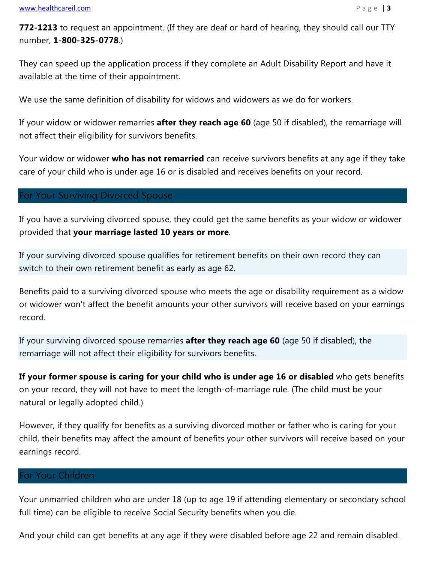**772-1213** to request an appointment. (If they are deaf or hard of hearing, they should call our TTY number, **1-800-325-0778**.)

They can speed up the application process if they complete an Adult Disability Report and have it available at the time of their appointment.

We use the same definition of disability for widows and widowers as we do for workers.

If your widow or widower remarries **after they reach age 60** (age 50 if disabled), the remarriage will not affect their eligibility for survivors benefits.

Your widow or widower **who has not remarried** can receive survivors benefits at any age if they take care of your child who is under age 16 or is disabled and receives benefits on your record.

#### For Your Surviving Divorced Spouse

If you have a surviving divorced spouse, they could get the same benefits as your widow or widower provided that **your marriage lasted 10 years or more**.

If your surviving divorced spouse qualifies for retirement benefits on their own record they can switch to their own retirement benefit as early as age 62.

Benefits paid to a surviving divorced spouse who meets the age or disability requirement as a widow or widower won't affect the benefit amounts your other survivors will receive based on your earnings record.

If your surviving divorced spouse remarries **after they reach age 60** (age 50 if disabled), the remarriage will not affect their eligibility for survivors benefits.

**If your former spouse is caring for your child who is under age 16 or disabled** who gets benefits on your record, they will not have to meet the length-of-marriage rule. (The child must be your natural or legally adopted child.)

However, if they qualify for benefits as a surviving divorced mother or father who is caring for your child, their benefits may affect the amount of benefits your other survivors will receive based on your earnings record.

#### For Your Children

Your unmarried children who are under 18 (up to age 19 if attending elementary or secondary school full time) can be eligible to receive Social Security benefits when you die.

And your child can get benefits at any age if they were disabled before age 22 and remain disabled.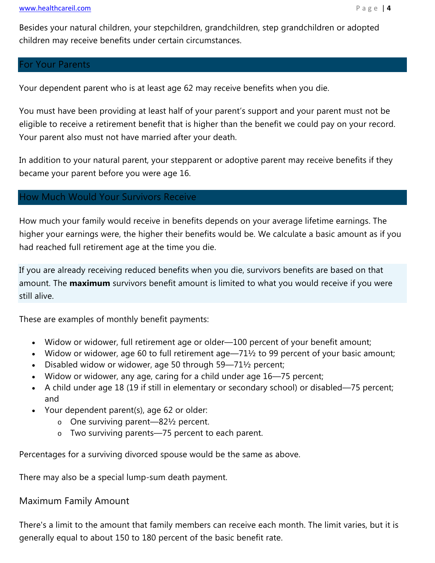Besides your natural children, your stepchildren, grandchildren, step grandchildren or adopted children may receive benefits under certain circumstances.

#### For Your Parents

Your dependent parent who is at least age 62 may receive benefits when you die.

You must have been providing at least half of your parent's support and your parent must not be eligible to receive a retirement benefit that is higher than the benefit we could pay on your record. Your parent also must not have married after your death.

In addition to your natural parent, your stepparent or adoptive parent may receive benefits if they became your parent before you were age 16.

#### How Much Would Your Survivors Receive

How much your family would receive in benefits depends on your average lifetime earnings. The higher your earnings were, the higher their benefits would be. We calculate a basic amount as if you had reached full retirement age at the time you die.

If you are already receiving reduced benefits when you die, survivors benefits are based on that amount. The **maximum** survivors benefit amount is limited to what you would receive if you were still alive.

These are examples of monthly benefit payments:

- Widow or widower, full retirement age or older—100 percent of your benefit amount;
- Widow or widower, age 60 to full retirement age—71½ to 99 percent of your basic amount;
- Disabled widow or widower, age 50 through 59-711<sup>1</sup>/<sub>2</sub> percent;
- Widow or widower, any age, caring for a child under age 16—75 percent;
- A child under age 18 (19 if still in elementary or secondary school) or disabled—75 percent; and
- Your dependent parent(s), age 62 or older:
	- o One surviving parent—82½ percent.
	- o Two surviving parents—75 percent to each parent.

Percentages for a surviving divorced spouse would be the same as above.

There may also be a special lump-sum death payment.

#### Maximum Family Amount

There's a limit to the amount that family members can receive each month. The limit varies, but it is generally equal to about 150 to 180 percent of the basic benefit rate.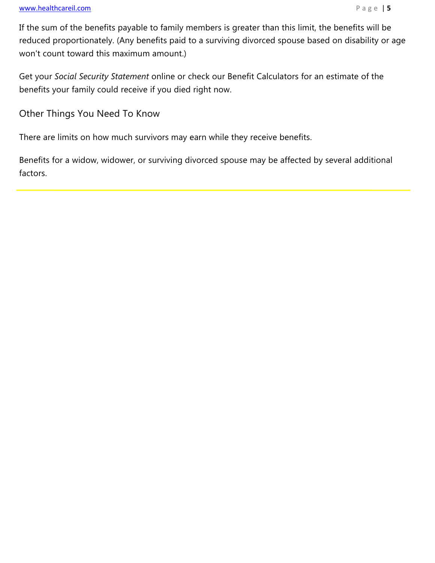#### www.healthcareil.com **Page | 5**

If the sum of the benefits payable to family members is greater than this limit, the benefits will be reduced proportionately. (Any benefits paid to a surviving divorced spouse based on disability or age won't count toward this maximum amount.)

Get your *Social Security Statement* online or check our Benefit Calculators for an estimate of the benefits your family could receive if you died right now.

Other Things You Need To Know

There are limits on how much survivors may earn while they receive benefits.

Benefits for a widow, widower, or surviving divorced spouse may be affected by several additional factors.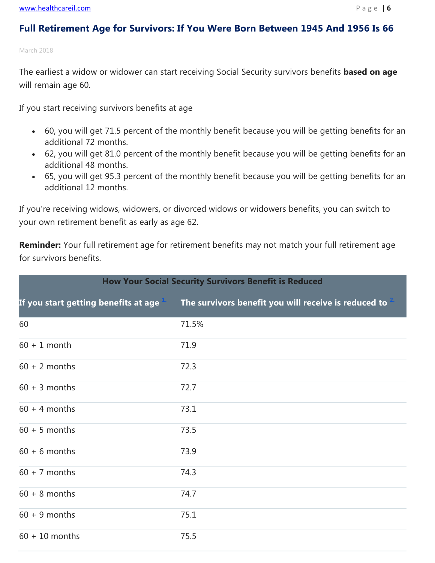#### **Full Retirement Age for Survivors: If You Were Born Between 1945 And 1956 Is 66**

March 2018

The earliest a widow or widower can start receiving Social Security survivors benefits **based on age** will remain age 60.

If you start receiving survivors benefits at age

- 60, you will get 71.5 percent of the monthly benefit because you will be getting benefits for an additional 72 months.
- 62, you will get 81.0 percent of the monthly benefit because you will be getting benefits for an additional 48 months.
- 65, you will get 95.3 percent of the monthly benefit because you will be getting benefits for an additional 12 months.

If you're receiving widows, widowers, or divorced widows or widowers benefits, you can switch to your own retirement benefit as early as age 62.

**Reminder:** Your full retirement age for retirement benefits may not match your full retirement age for survivors benefits.

| <b>How Your Social Security Survivors Benefit is Reduced</b> |                                                                                           |  |  |
|--------------------------------------------------------------|-------------------------------------------------------------------------------------------|--|--|
|                                                              | If you start getting benefits at age The survivors benefit you will receive is reduced to |  |  |
| 60                                                           | 71.5%                                                                                     |  |  |
| $60 + 1$ month                                               | 71.9                                                                                      |  |  |
| $60 + 2$ months                                              | 72.3                                                                                      |  |  |
| $60 + 3$ months                                              | 72.7                                                                                      |  |  |
| $60 + 4$ months                                              | 73.1                                                                                      |  |  |
| $60 + 5$ months                                              | 73.5                                                                                      |  |  |
| $60 + 6$ months                                              | 73.9                                                                                      |  |  |
| $60 + 7$ months                                              | 74.3                                                                                      |  |  |
| $60 + 8$ months                                              | 74.7                                                                                      |  |  |
| $60 + 9$ months                                              | 75.1                                                                                      |  |  |
| $60 + 10$ months                                             | 75.5                                                                                      |  |  |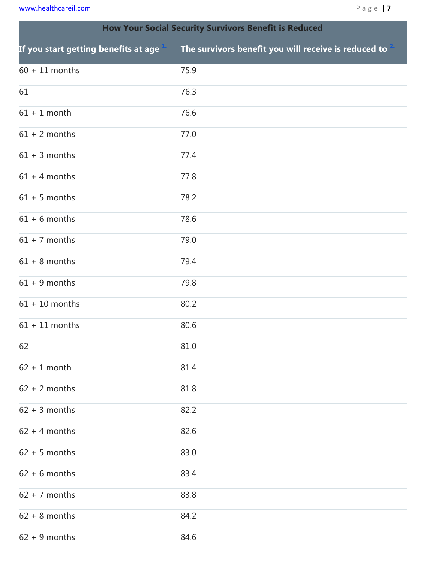www.healthcareil.com **Page 17** 

| <b>How Your Social Security Survivors Benefit is Reduced</b> |                                                                                           |  |  |  |
|--------------------------------------------------------------|-------------------------------------------------------------------------------------------|--|--|--|
|                                                              | If you start getting benefits at age The survivors benefit you will receive is reduced to |  |  |  |
| $60 + 11$ months                                             | 75.9                                                                                      |  |  |  |
| 61                                                           | 76.3                                                                                      |  |  |  |
| $61 + 1$ month                                               | 76.6                                                                                      |  |  |  |
| $61 + 2$ months                                              | 77.0                                                                                      |  |  |  |
| $61 + 3$ months                                              | 77.4                                                                                      |  |  |  |
| $61 + 4$ months                                              | 77.8                                                                                      |  |  |  |
| $61 + 5$ months                                              | 78.2                                                                                      |  |  |  |
| $61 + 6$ months                                              | 78.6                                                                                      |  |  |  |
| $61 + 7$ months                                              | 79.0                                                                                      |  |  |  |
| $61 + 8$ months                                              | 79.4                                                                                      |  |  |  |
| $61 + 9$ months                                              | 79.8                                                                                      |  |  |  |
| $61 + 10$ months                                             | 80.2                                                                                      |  |  |  |
| $61 + 11$ months                                             | 80.6                                                                                      |  |  |  |
| 62                                                           | 81.0                                                                                      |  |  |  |
| $62 + 1$ month                                               | 81.4                                                                                      |  |  |  |
| $62 + 2$ months                                              | 81.8                                                                                      |  |  |  |
| $62 + 3$ months                                              | 82.2                                                                                      |  |  |  |
| $62 + 4$ months                                              | 82.6                                                                                      |  |  |  |
| $62 + 5$ months                                              | 83.0                                                                                      |  |  |  |
| $62 + 6$ months                                              | 83.4                                                                                      |  |  |  |
| $62 + 7$ months                                              | 83.8                                                                                      |  |  |  |
| $62 + 8$ months                                              | 84.2                                                                                      |  |  |  |
| $62 + 9$ months                                              | 84.6                                                                                      |  |  |  |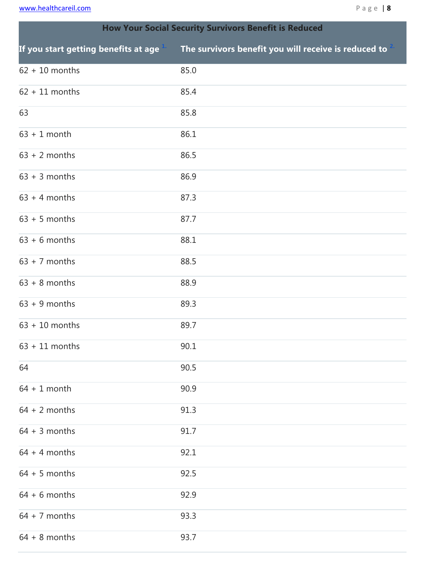www.healthcareil.com **B** a get **8** 

| <b>How Your Social Security Survivors Benefit is Reduced</b> |                                                                                                         |  |  |  |
|--------------------------------------------------------------|---------------------------------------------------------------------------------------------------------|--|--|--|
|                                                              | If you start getting benefits at age $\frac{1}{1}$ The survivors benefit you will receive is reduced to |  |  |  |
| $62 + 10$ months                                             | 85.0                                                                                                    |  |  |  |
| $62 + 11$ months                                             | 85.4                                                                                                    |  |  |  |
| 63                                                           | 85.8                                                                                                    |  |  |  |
| $63 + 1$ month                                               | 86.1                                                                                                    |  |  |  |
| $63 + 2$ months                                              | 86.5                                                                                                    |  |  |  |
| $63 + 3$ months                                              | 86.9                                                                                                    |  |  |  |
| $63 + 4$ months                                              | 87.3                                                                                                    |  |  |  |
| $63 + 5$ months                                              | 87.7                                                                                                    |  |  |  |
| $63 + 6$ months                                              | 88.1                                                                                                    |  |  |  |
| $63 + 7$ months                                              | 88.5                                                                                                    |  |  |  |
| $63 + 8$ months                                              | 88.9                                                                                                    |  |  |  |
| $63 + 9$ months                                              | 89.3                                                                                                    |  |  |  |
| $63 + 10$ months                                             | 89.7                                                                                                    |  |  |  |
| $63 + 11$ months                                             | 90.1                                                                                                    |  |  |  |
| 64                                                           | 90.5                                                                                                    |  |  |  |
| $64 + 1$ month                                               | 90.9                                                                                                    |  |  |  |
| $64 + 2$ months                                              | 91.3                                                                                                    |  |  |  |
| $64 + 3$ months                                              | 91.7                                                                                                    |  |  |  |
| $64 + 4$ months                                              | 92.1                                                                                                    |  |  |  |
| $64 + 5$ months                                              | 92.5                                                                                                    |  |  |  |
| $64 + 6$ months                                              | 92.9                                                                                                    |  |  |  |
| $64 + 7$ months                                              | 93.3                                                                                                    |  |  |  |
| $64 + 8$ months                                              | 93.7                                                                                                    |  |  |  |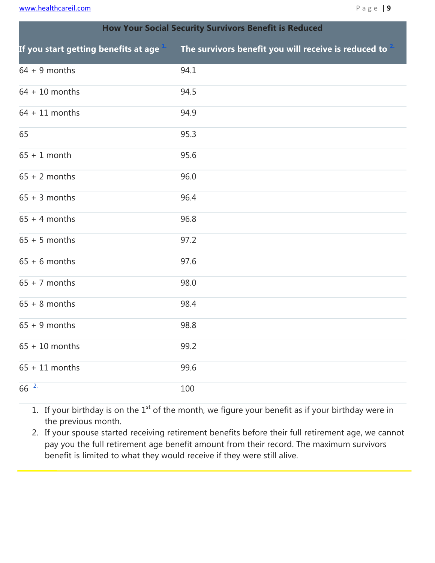www.healthcareil.com

|  |  |  |  | n |
|--|--|--|--|---|
|--|--|--|--|---|

| <b>How Your Social Security Survivors Benefit is Reduced</b> |                                                                                           |  |  |  |
|--------------------------------------------------------------|-------------------------------------------------------------------------------------------|--|--|--|
|                                                              | If you start getting benefits at age The survivors benefit you will receive is reduced to |  |  |  |
| $64 + 9$ months                                              | 94.1                                                                                      |  |  |  |
| $64 + 10$ months                                             | 94.5                                                                                      |  |  |  |
| $64 + 11$ months                                             | 94.9                                                                                      |  |  |  |
| 65                                                           | 95.3                                                                                      |  |  |  |
| $65 + 1$ month                                               | 95.6                                                                                      |  |  |  |
| $65 + 2$ months                                              | 96.0                                                                                      |  |  |  |
| $65 + 3$ months                                              | 96.4                                                                                      |  |  |  |
| $65 + 4$ months                                              | 96.8                                                                                      |  |  |  |
| $65 + 5$ months                                              | 97.2                                                                                      |  |  |  |
| $65 + 6$ months                                              | 97.6                                                                                      |  |  |  |
| $65 + 7$ months                                              | 98.0                                                                                      |  |  |  |
| $65 + 8$ months                                              | 98.4                                                                                      |  |  |  |
| $65 + 9$ months                                              | 98.8                                                                                      |  |  |  |
| $65 + 10$ months                                             | 99.2                                                                                      |  |  |  |
| $65 + 11$ months                                             | 99.6                                                                                      |  |  |  |
| $66^{2}$                                                     | 100                                                                                       |  |  |  |

1. If your birthday is on the  $1<sup>st</sup>$  of the month, we figure your benefit as if your birthday were in the previous month.

2. If your spouse started receiving retirement benefits before their full retirement age, we cannot pay you the full retirement age benefit amount from their record. The maximum survivors benefit is limited to what they would receive if they were still alive.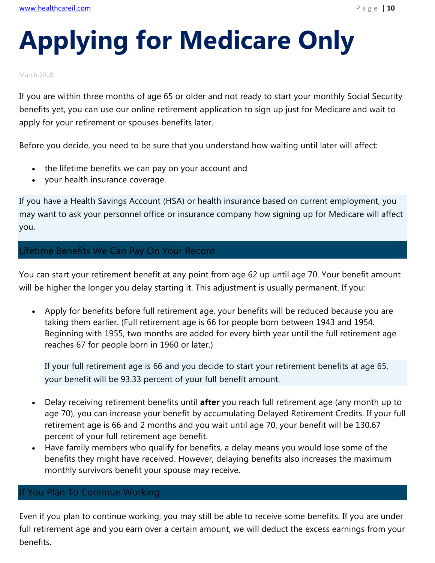# **Applying for Medicare Only**

March 2018

If you are within three months of age 65 or older and not ready to start your monthly Social Security benefits yet, you can use our online retirement application to sign up just for Medicare and wait to apply for your retirement or spouses benefits later.

Before you decide, you need to be sure that you understand how waiting until later will affect:

- the lifetime benefits we can pay on your account and
- your health insurance coverage.

If you have a Health Savings Account (HSA) or health insurance based on current employment, you may want to ask your personnel office or insurance company how signing up for Medicare will affect you.

#### Lifetime Benefits We Can Pay On Your Record

You can start your retirement benefit at any point from age 62 up until age 70. Your benefit amount will be higher the longer you delay starting it. This adjustment is usually permanent. If you:

 Apply for benefits before full retirement age, your benefits will be reduced because you are taking them earlier. (Full retirement age is 66 for people born between 1943 and 1954. Beginning with 1955, two months are added for every birth year until the full retirement age reaches 67 for people born in 1960 or later.)

If your full retirement age is 66 and you decide to start your retirement benefits at age 65, your benefit will be 93.33 percent of your full benefit amount.

- Delay receiving retirement benefits until **after** you reach full retirement age (any month up to age 70), you can increase your benefit by accumulating Delayed Retirement Credits. If your full retirement age is 66 and 2 months and you wait until age 70, your benefit will be 130.67 percent of your full retirement age benefit.
- Have family members who qualify for benefits, a delay means you would lose some of the benefits they might have received. However, delaying benefits also increases the maximum monthly survivors benefit your spouse may receive.

#### If You Plan To Continue Working

Even if you plan to continue working, you may still be able to receive some benefits. If you are under full retirement age and you earn over a certain amount, we will deduct the excess earnings from your benefits.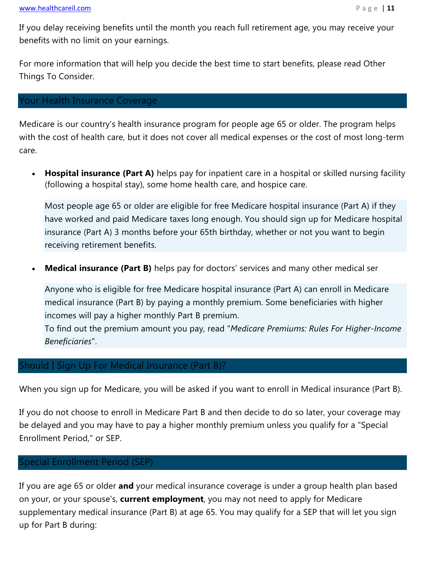If you delay receiving benefits until the month you reach full retirement age, you may receive your benefits with no limit on your earnings.

For more information that will help you decide the best time to start benefits, please read Other Things To Consider.

#### Your Health Insurance Coverage

Medicare is our country's health insurance program for people age 65 or older. The program helps with the cost of health care, but it does not cover all medical expenses or the cost of most long-term care.

 **Hospital insurance (Part A)** helps pay for inpatient care in a hospital or skilled nursing facility (following a hospital stay), some home health care, and hospice care.

Most people age 65 or older are eligible for free Medicare hospital insurance (Part A) if they have worked and paid Medicare taxes long enough. You should sign up for Medicare hospital insurance (Part A) 3 months before your 65th birthday, whether or not you want to begin receiving retirement benefits.

**Medical insurance (Part B)** helps pay for doctors' services and many other medical ser

Anyone who is eligible for free Medicare hospital insurance (Part A) can enroll in Medicare medical insurance (Part B) by paying a monthly premium. Some beneficiaries with higher incomes will pay a higher monthly Part B premium.

To find out the premium amount you pay, read "*Medicare Premiums: Rules For Higher-Income Beneficiaries*".

#### Should I Sign Up For Medical Insurance (Part B)?

When you sign up for Medicare, you will be asked if you want to enroll in Medical insurance (Part B).

If you do not choose to enroll in Medicare Part B and then decide to do so later, your coverage may be delayed and you may have to pay a higher monthly premium unless you qualify for a "Special Enrollment Period," or SEP.

#### Special Enrollment Period (SEP)

If you are age 65 or older **and** your medical insurance coverage is under a group health plan based on your, or your spouse's, **current employment**, you may not need to apply for Medicare supplementary medical insurance (Part B) at age 65. You may qualify for a SEP that will let you sign up for Part B during: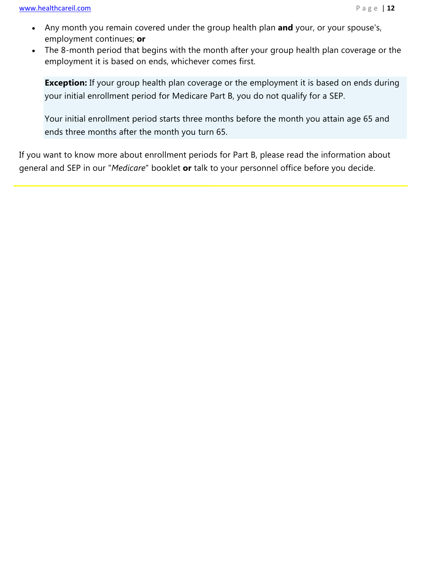- Any month you remain covered under the group health plan **and** your, or your spouse's, employment continues; **or**
- The 8-month period that begins with the month after your group health plan coverage or the employment it is based on ends, whichever comes first.

**Exception:** If your group health plan coverage or the employment it is based on ends during your initial enrollment period for Medicare Part B, you do not qualify for a SEP.

Your initial enrollment period starts three months before the month you attain age 65 and ends three months after the month you turn 65.

If you want to know more about enrollment periods for Part B, please read the information about general and SEP in our "*Medicare*" booklet **or** talk to your personnel office before you decide.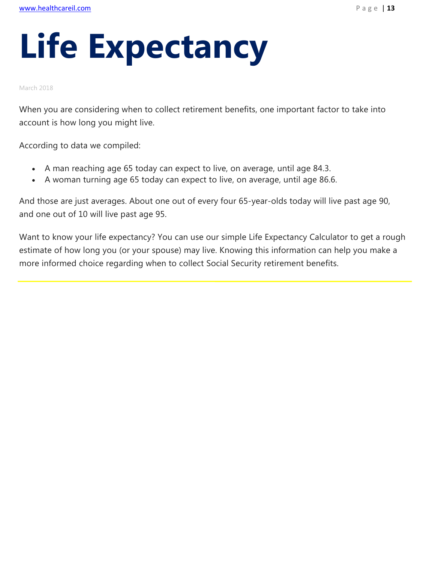# **Life Expectancy**

#### March 2018

When you are considering when to collect retirement benefits, one important factor to take into account is how long you might live.

According to data we compiled:

- A man reaching age 65 today can expect to live, on average, until age 84.3.
- A woman turning age 65 today can expect to live, on average, until age 86.6.

And those are just averages. About one out of every four 65-year-olds today will live past age 90, and one out of 10 will live past age 95.

Want to know your life expectancy? You can use our simple Life Expectancy Calculator to get a rough estimate of how long you (or your spouse) may live. Knowing this information can help you make a more informed choice regarding when to collect Social Security retirement benefits.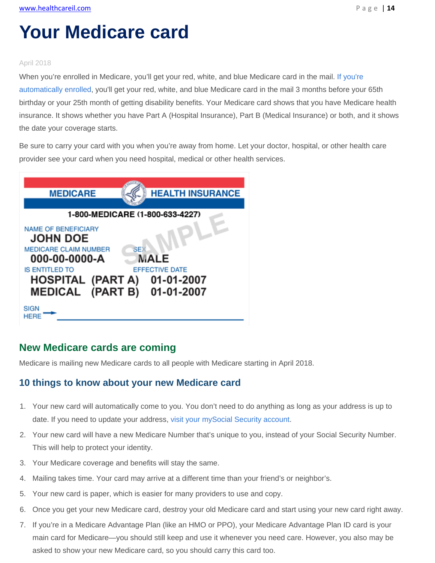## **Your Medicare card**

#### April 2018

When you're enrolled in Medicare, you'll get your red, white, and blue Medicare card in the mail. If you're automatically enrolled, you'll get your red, white, and blue Medicare card in the mail 3 months before your 65th birthday or your 25th month of getting disability benefits. Your Medicare card shows that you have Medicare health insurance. It shows whether you have Part A (Hospital Insurance), Part B (Medical Insurance) or both, and it shows the date your coverage starts.

Be sure to carry your card with you when you're away from home. Let your doctor, hospital, or other health care provider see your card when you need hospital, medical or other health services.



#### **New Medicare cards are coming**

Medicare is mailing new Medicare cards to all people with Medicare starting in April 2018.

#### **10 things to know about your new Medicare card**

- 1. Your new card will automatically come to you. You don't need to do anything as long as your address is up to date. If you need to update your address, visit your mySocial Security account.
- 2. Your new card will have a new Medicare Number that's unique to you, instead of your Social Security Number. This will help to protect your identity.
- 3. Your Medicare coverage and benefits will stay the same.
- 4. Mailing takes time. Your card may arrive at a different time than your friend's or neighbor's.
- 5. Your new card is paper, which is easier for many providers to use and copy.
- 6. Once you get your new Medicare card, destroy your old Medicare card and start using your new card right away.
- 7. If you're in a Medicare Advantage Plan (like an HMO or PPO), your Medicare Advantage Plan ID card is your main card for Medicare—you should still keep and use it whenever you need care. However, you also may be asked to show your new Medicare card, so you should carry this card too.